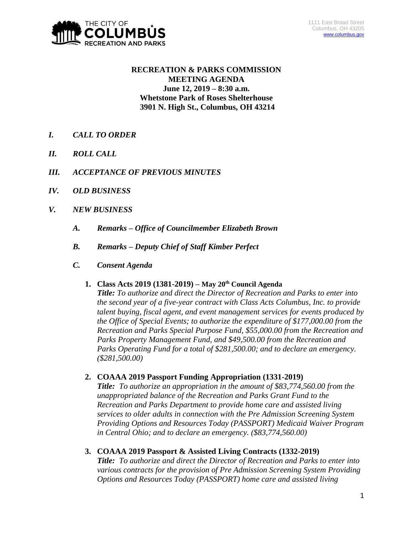

# **RECREATION & PARKS COMMISSION MEETING AGENDA June 12, 2019 – 8:30 a.m. Whetstone Park of Roses Shelterhouse 3901 N. High St., Columbus, OH 43214**

- *I. CALL TO ORDER*
- *II. ROLL CALL*
- *III. ACCEPTANCE OF PREVIOUS MINUTES*
- *IV. OLD BUSINESS*
- *V. NEW BUSINESS*
	- *A. Remarks – Office of Councilmember Elizabeth Brown*
	- *B. Remarks – Deputy Chief of Staff Kimber Perfect*
	- *C. Consent Agenda* 
		- **1. Class Acts 2019 (1381-2019) – May 20th Council Agenda**

*Title: To authorize and direct the Director of Recreation and Parks to enter into the second year of a five-year contract with Class Acts Columbus, Inc. to provide talent buying, fiscal agent, and event management services for events produced by the Office of Special Events; to authorize the expenditure of \$177,000.00 from the Recreation and Parks Special Purpose Fund, \$55,000.00 from the Recreation and Parks Property Management Fund, and \$49,500.00 from the Recreation and Parks Operating Fund for a total of \$281,500.00; and to declare an emergency. (\$281,500.00)*

**2. COAAA 2019 Passport Funding Appropriation (1331-2019)**

*Title: To authorize an appropriation in the amount of \$83,774,560.00 from the unappropriated balance of the Recreation and Parks Grant Fund to the Recreation and Parks Department to provide home care and assisted living services to older adults in connection with the Pre Admission Screening System Providing Options and Resources Today (PASSPORT) Medicaid Waiver Program in Central Ohio; and to declare an emergency. (\$83,774,560.00)*

**3. COAAA 2019 Passport & Assisted Living Contracts (1332-2019)**

*Title: To authorize and direct the Director of Recreation and Parks to enter into various contracts for the provision of Pre Admission Screening System Providing Options and Resources Today (PASSPORT) home care and assisted living*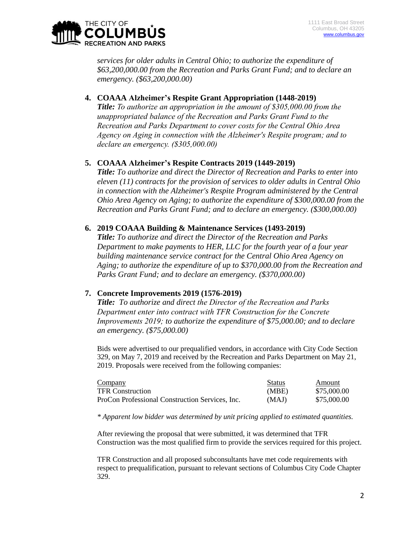

*services for older adults in Central Ohio; to authorize the expenditure of \$63,200,000.00 from the Recreation and Parks Grant Fund; and to declare an emergency. (\$63,200,000.00)*

## **4. COAAA Alzheimer's Respite Grant Appropriation (1448-2019)**

*Title: To authorize an appropriation in the amount of \$305,000.00 from the unappropriated balance of the Recreation and Parks Grant Fund to the Recreation and Parks Department to cover costs for the Central Ohio Area Agency on Aging in connection with the Alzheimer's Respite program; and to declare an emergency. (\$305,000.00)*

## **5. COAAA Alzheimer's Respite Contracts 2019 (1449-2019)**

*Title: To authorize and direct the Director of Recreation and Parks to enter into eleven (11) contracts for the provision of services to older adults in Central Ohio in connection with the Alzheimer's Respite Program administered by the Central Ohio Area Agency on Aging; to authorize the expenditure of \$300,000.00 from the Recreation and Parks Grant Fund; and to declare an emergency. (\$300,000.00)*

## **6. 2019 COAAA Building & Maintenance Services (1493-2019)**

*Title: To authorize and direct the Director of the Recreation and Parks Department to make payments to HER, LLC for the fourth year of a four year building maintenance service contract for the Central Ohio Area Agency on Aging; to authorize the expenditure of up to \$370,000.00 from the Recreation and Parks Grant Fund; and to declare an emergency. (\$370,000.00)*

## **7. Concrete Improvements 2019 (1576-2019)**

*Title: To authorize and direct the Director of the Recreation and Parks Department enter into contract with TFR Construction for the Concrete Improvements 2019; to authorize the expenditure of \$75,000.00; and to declare an emergency. (\$75,000.00)*

Bids were advertised to our prequalified vendors, in accordance with City Code Section 329, on May 7, 2019 and received by the Recreation and Parks Department on May 21, 2019. Proposals were received from the following companies:

| <b>Company</b>                                  | <b>Status</b> | Amount      |
|-------------------------------------------------|---------------|-------------|
| <b>TFR Construction</b>                         | (MBE)         | \$75,000.00 |
| ProCon Professional Construction Services, Inc. | (MAJ)         | \$75,000.00 |

*\* Apparent low bidder was determined by unit pricing applied to estimated quantities.*

After reviewing the proposal that were submitted, it was determined that TFR Construction was the most qualified firm to provide the services required for this project.

TFR Construction and all proposed subconsultants have met code requirements with respect to prequalification, pursuant to relevant sections of Columbus City Code Chapter 329.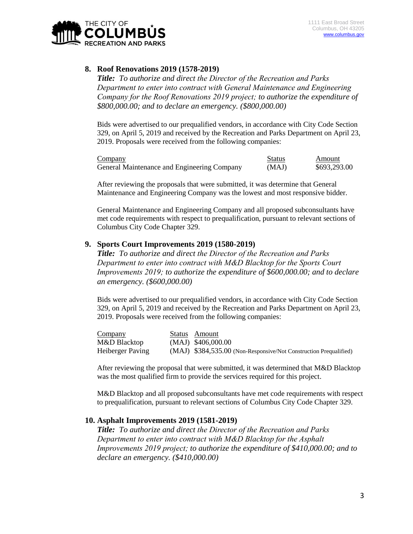

## **8. Roof Renovations 2019 (1578-2019)**

*Title: To authorize and direct the Director of the Recreation and Parks Department to enter into contract with General Maintenance and Engineering Company for the Roof Renovations 2019 project; to authorize the expenditure of \$800,000.00; and to declare an emergency. (\$800,000.00)*

Bids were advertised to our prequalified vendors, in accordance with City Code Section 329, on April 5, 2019 and received by the Recreation and Parks Department on April 23, 2019. Proposals were received from the following companies:

| Company                                     | <b>Status</b> | Amount       |
|---------------------------------------------|---------------|--------------|
| General Maintenance and Engineering Company | (MAJ)         | \$693,293.00 |

After reviewing the proposals that were submitted, it was determine that General Maintenance and Engineering Company was the lowest and most responsive bidder.

General Maintenance and Engineering Company and all proposed subconsultants have met code requirements with respect to prequalification, pursuant to relevant sections of Columbus City Code Chapter 329.

### **9. Sports Court Improvements 2019 (1580-2019)**

*Title: To authorize and direct the Director of the Recreation and Parks Department to enter into contract with M&D Blacktop for the Sports Court Improvements 2019; to authorize the expenditure of \$600,000.00; and to declare an emergency. (\$600,000.00)*

Bids were advertised to our prequalified vendors, in accordance with City Code Section 329, on April 5, 2019 and received by the Recreation and Parks Department on April 23, 2019. Proposals were received from the following companies:

| Company          | Status Amount                                                     |
|------------------|-------------------------------------------------------------------|
| M&D Blacktop     | $(MAJ)$ \$406,000.00                                              |
| Heiberger Paving | (MAJ) \$384,535.00 (Non-Responsive/Not Construction Prequalified) |

After reviewing the proposal that were submitted, it was determined that M&D Blacktop was the most qualified firm to provide the services required for this project.

M&D Blacktop and all proposed subconsultants have met code requirements with respect to prequalification, pursuant to relevant sections of Columbus City Code Chapter 329.

### **10. Asphalt Improvements 2019 (1581-2019)**

*Title: To authorize and direct the Director of the Recreation and Parks Department to enter into contract with M&D Blacktop for the Asphalt Improvements 2019 project; to authorize the expenditure of \$410,000.00; and to declare an emergency. (\$410,000.00)*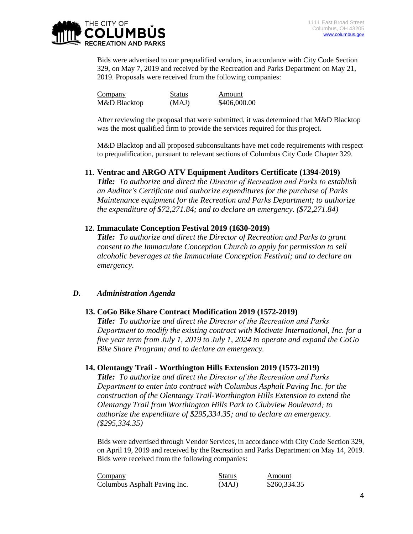

Bids were advertised to our prequalified vendors, in accordance with City Code Section 329, on May 7, 2019 and received by the Recreation and Parks Department on May 21, 2019. Proposals were received from the following companies:

| Company      | <b>Status</b> | Amount       |
|--------------|---------------|--------------|
| M&D Blacktop | (MAJ)         | \$406,000.00 |

After reviewing the proposal that were submitted, it was determined that M&D Blacktop was the most qualified firm to provide the services required for this project.

M&D Blacktop and all proposed subconsultants have met code requirements with respect to prequalification, pursuant to relevant sections of Columbus City Code Chapter 329.

### **11. Ventrac and ARGO ATV Equipment Auditors Certificate (1394-2019)**

*Title: To authorize and direct the Director of Recreation and Parks to establish an Auditor's Certificate and authorize expenditures for the purchase of Parks Maintenance equipment for the Recreation and Parks Department; to authorize the expenditure of \$72,271.84; and to declare an emergency. (\$72,271.84)*

### **12. Immaculate Conception Festival 2019 (1630-2019)**

*Title: To authorize and direct the Director of Recreation and Parks to grant consent to the Immaculate Conception Church to apply for permission to sell alcoholic beverages at the Immaculate Conception Festival; and to declare an emergency.*

### *D. Administration Agenda*

## **13. CoGo Bike Share Contract Modification 2019 (1572-2019)**

*Title: To authorize and direct the Director of the Recreation and Parks Department to modify the existing contract with Motivate International, Inc. for a five year term from July 1, 2019 to July 1, 2024 to operate and expand the CoGo Bike Share Program; and to declare an emergency.*

### **14. Olentangy Trail - Worthington Hills Extension 2019 (1573-2019)**

*Title: To authorize and direct the Director of the Recreation and Parks Department to enter into contract with Columbus Asphalt Paving Inc. for the construction of the Olentangy Trail-Worthington Hills Extension to extend the Olentangy Trail from Worthington Hills Park to Clubview Boulevard; to authorize the expenditure of \$295,334.35; and to declare an emergency. (\$295,334.35)*

Bids were advertised through Vendor Services, in accordance with City Code Section 329, on April 19, 2019 and received by the Recreation and Parks Department on May 14, 2019. Bids were received from the following companies:

| Company                      | <b>Status</b> | Amount       |
|------------------------------|---------------|--------------|
| Columbus Asphalt Paving Inc. | (MAJ)         | \$260,334.35 |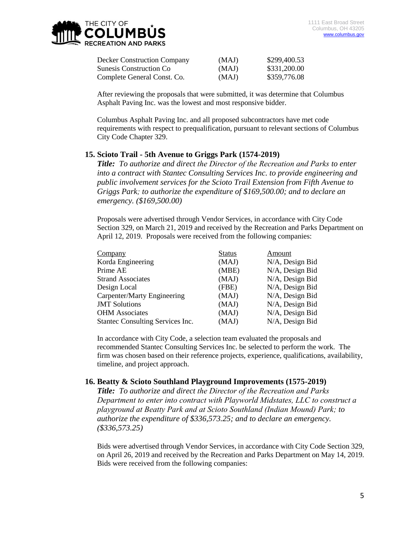| <b>Decker Construction Company</b> | (MAJ) | \$299,400.53 |
|------------------------------------|-------|--------------|
| <b>Sunesis Construction Co</b>     | (MAJ) | \$331,200.00 |
| Complete General Const. Co.        | (MAJ) | \$359,776.08 |

After reviewing the proposals that were submitted, it was determine that Columbus Asphalt Paving Inc. was the lowest and most responsive bidder.

Columbus Asphalt Paving Inc. and all proposed subcontractors have met code requirements with respect to prequalification, pursuant to relevant sections of Columbus City Code Chapter 329.

### **15. Scioto Trail - 5th Avenue to Griggs Park (1574-2019)**

*Title: To authorize and direct the Director of the Recreation and Parks to enter into a contract with Stantec Consulting Services Inc. to provide engineering and public involvement services for the Scioto Trail Extension from Fifth Avenue to Griggs Park; to authorize the expenditure of \$169,500.00; and to declare an emergency. (\$169,500.00)*

Proposals were advertised through Vendor Services, in accordance with City Code Section 329, on March 21, 2019 and received by the Recreation and Parks Department on April 12, 2019. Proposals were received from the following companies:

| Company                          | <b>Status</b> | Amount          |
|----------------------------------|---------------|-----------------|
| Korda Engineering                | (MAJ)         | N/A, Design Bid |
| Prime AE                         | (MBE)         | N/A, Design Bid |
| <b>Strand Associates</b>         | (MAJ)         | N/A, Design Bid |
| Design Local                     | (FBE)         | N/A, Design Bid |
| Carpenter/Marty Engineering      | (MAJ)         | N/A, Design Bid |
| <b>JMT</b> Solutions             | (MAJ)         | N/A, Design Bid |
| <b>OHM</b> Associates            | (MAJ)         | N/A, Design Bid |
| Stantec Consulting Services Inc. | (MAJ)         | N/A, Design Bid |

In accordance with City Code, a selection team evaluated the proposals and recommended Stantec Consulting Services Inc. be selected to perform the work. The firm was chosen based on their reference projects, experience, qualifications, availability, timeline, and project approach.

### **16. Beatty & Scioto Southland Playground Improvements (1575-2019)**

*Title: To authorize and direct the Director of the Recreation and Parks Department to enter into contract with Playworld Midstates, LLC to construct a playground at Beatty Park and at Scioto Southland (Indian Mound) Park; to authorize the expenditure of \$336,573.25; and to declare an emergency. (\$336,573.25)*

Bids were advertised through Vendor Services, in accordance with City Code Section 329, on April 26, 2019 and received by the Recreation and Parks Department on May 14, 2019. Bids were received from the following companies: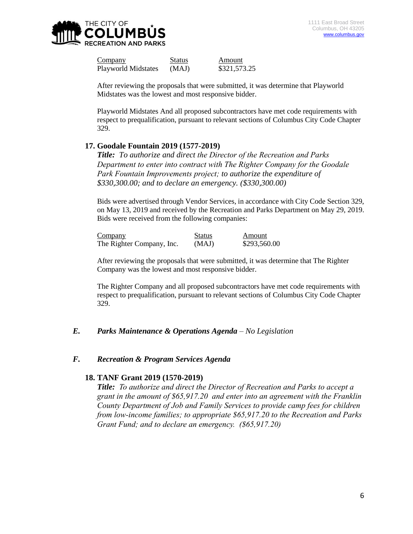

Company Status Amount Playworld Midstates (MAJ) \$321,573.25

After reviewing the proposals that were submitted, it was determine that Playworld Midstates was the lowest and most responsive bidder.

Playworld Midstates And all proposed subcontractors have met code requirements with respect to prequalification, pursuant to relevant sections of Columbus City Code Chapter 329.

### **17. Goodale Fountain 2019 (1577-2019)**

*Title: To authorize and direct the Director of the Recreation and Parks Department to enter into contract with The Righter Company for the Goodale*  Park Fountain Improvements project; to authorize the expenditure of *\$330,300.00; and to declare an emergency. (\$330,300.00)*

Bids were advertised through Vendor Services, in accordance with City Code Section 329, on May 13, 2019 and received by the Recreation and Parks Department on May 29, 2019. Bids were received from the following companies:

| Company                   | <b>Status</b> | Amount       |
|---------------------------|---------------|--------------|
| The Righter Company, Inc. | (MAJ)         | \$293,560.00 |

After reviewing the proposals that were submitted, it was determine that The Righter Company was the lowest and most responsive bidder.

The Righter Company and all proposed subcontractors have met code requirements with respect to prequalification, pursuant to relevant sections of Columbus City Code Chapter 329.

## *E. Parks Maintenance & Operations Agenda – No Legislation*

#### *F. Recreation & Program Services Agenda*

### **18. TANF Grant 2019 (1570-2019)**

*Title: To authorize and direct the Director of Recreation and Parks to accept a grant in the amount of \$65,917.20 and enter into an agreement with the Franklin County Department of Job and Family Services to provide camp fees for children from low-income families; to appropriate \$65,917.20 to the Recreation and Parks Grant Fund; and to declare an emergency. (\$65,917.20)*